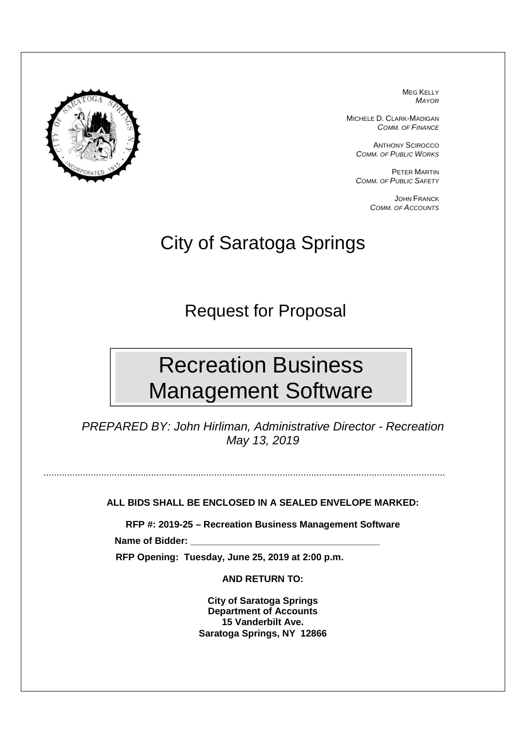

MEG KELLY MAYOR

MICHELE D. CLARK-MADIGAN COMM. OF FINANCE

> ANTHONY SCIROCCO COMM. OF PUBLIC WORKS

> PETER MARTIN COMM. OF PUBLIC SAFETY

> > JOHN FRANCK COMM. OF ACCOUNTS

## City of Saratoga Springs

Request for Proposal

# Recreation Business Management Software

PREPARED BY: John Hirliman, Administrative Director - Recreation May 13, 2019

**ALL BIDS SHALL BE ENCLOSED IN A SEALED ENVELOPE MARKED:** 

.........................................................................................................................................................

**RFP #: 2019-25 – Recreation Business Management Software**  Name of Bidder:

 **RFP Opening: Tuesday, June 25, 2019 at 2:00 p.m.** 

**AND RETURN TO:** 

**City of Saratoga Springs Department of Accounts 15 Vanderbilt Ave. Saratoga Springs, NY 12866**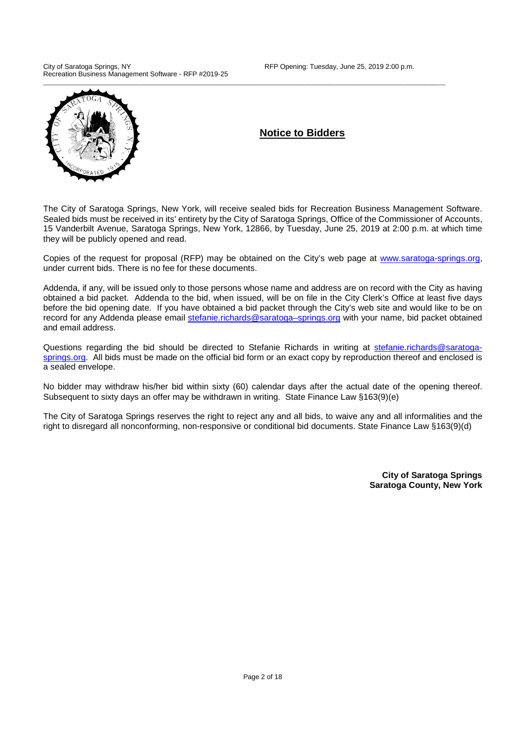City of Saratoga Springs, NY **RFP Opening: Tuesday, June 25, 2019 2:00 p.m.** Recreation Business Management Software - RFP #2019-25



### **Notice to Bidders**

The City of Saratoga Springs, New York, will receive sealed bids for Recreation Business Management Software. Sealed bids must be received in its' entirety by the City of Saratoga Springs, Office of the Commissioner of Accounts, 15 Vanderbilt Avenue, Saratoga Springs, New York, 12866, by Tuesday, June 25, 2019 at 2:00 p.m. at which time they will be publicly opened and read.

Copies of the request for proposal (RFP) may be obtained on the City's web page at www.saratoga-springs.org, under current bids. There is no fee for these documents.

Addenda, if any, will be issued only to those persons whose name and address are on record with the City as having obtained a bid packet. Addenda to the bid, when issued, will be on file in the City Clerk's Office at least five days before the bid opening date. If you have obtained a bid packet through the City's web site and would like to be on record for any Addenda please email stefanie.richards@saratoga-springs.org with your name, bid packet obtained and email address.

Questions regarding the bid should be directed to Stefanie Richards in writing at stefanie.richards@saratogasprings.org. All bids must be made on the official bid form or an exact copy by reproduction thereof and enclosed is a sealed envelope.

No bidder may withdraw his/her bid within sixty (60) calendar days after the actual date of the opening thereof. Subsequent to sixty days an offer may be withdrawn in writing. State Finance Law §163(9)(e)

The City of Saratoga Springs reserves the right to reject any and all bids, to waive any and all informalities and the right to disregard all nonconforming, non-responsive or conditional bid documents. State Finance Law §163(9)(d)

> **City of Saratoga Springs Saratoga County, New York**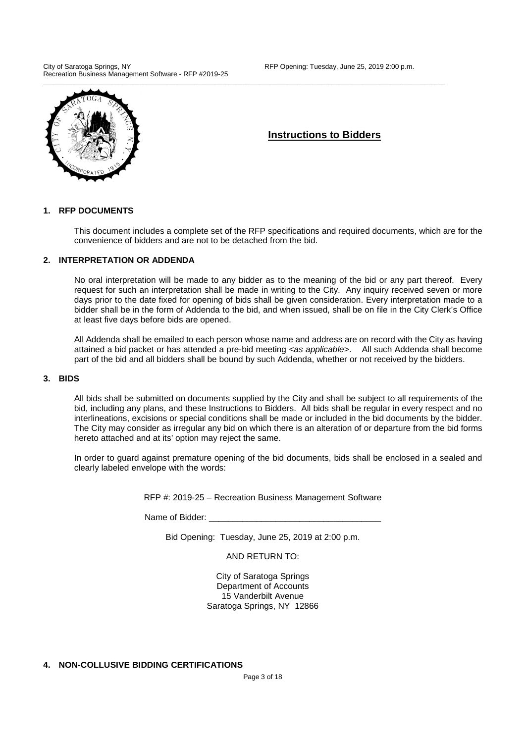City of Saratoga Springs, NY **RFP Opening: Tuesday, June 25, 2019 2:00 p.m.** Recreation Business Management Software - RFP #2019-25



### **Instructions to Bidders**

### **1. RFP DOCUMENTS**

This document includes a complete set of the RFP specifications and required documents, which are for the convenience of bidders and are not to be detached from the bid.

### **2. INTERPRETATION OR ADDENDA**

No oral interpretation will be made to any bidder as to the meaning of the bid or any part thereof. Every request for such an interpretation shall be made in writing to the City. Any inquiry received seven or more days prior to the date fixed for opening of bids shall be given consideration. Every interpretation made to a bidder shall be in the form of Addenda to the bid, and when issued, shall be on file in the City Clerk's Office at least five days before bids are opened.

All Addenda shall be emailed to each person whose name and address are on record with the City as having attained a bid packet or has attended a pre-bid meeting <as applicable>. All such Addenda shall become part of the bid and all bidders shall be bound by such Addenda, whether or not received by the bidders.

#### **3. BIDS**

All bids shall be submitted on documents supplied by the City and shall be subject to all requirements of the bid, including any plans, and these Instructions to Bidders. All bids shall be regular in every respect and no interlineations, excisions or special conditions shall be made or included in the bid documents by the bidder. The City may consider as irregular any bid on which there is an alteration of or departure from the bid forms hereto attached and at its' option may reject the same.

In order to guard against premature opening of the bid documents, bids shall be enclosed in a sealed and clearly labeled envelope with the words:

RFP #: 2019-25 – Recreation Business Management Software

Name of Bidder:

Bid Opening: Tuesday, June 25, 2019 at 2:00 p.m.

AND RETURN TO:

City of Saratoga Springs Department of Accounts 15 Vanderbilt Avenue Saratoga Springs, NY 12866

**4. NON-COLLUSIVE BIDDING CERTIFICATIONS**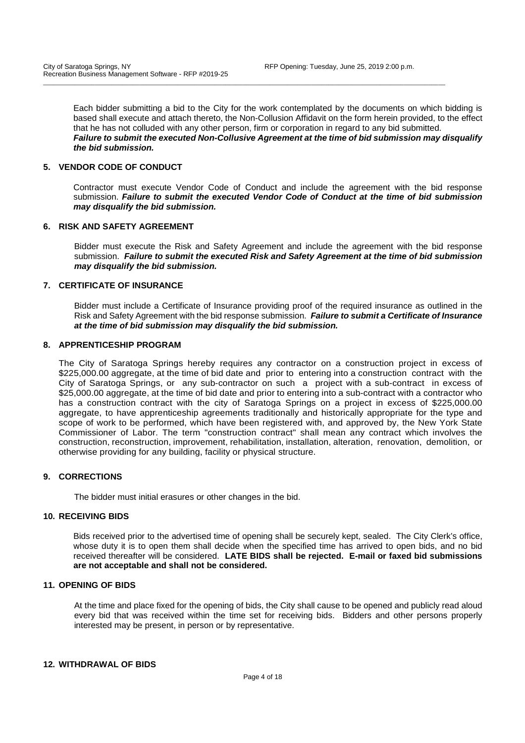Each bidder submitting a bid to the City for the work contemplated by the documents on which bidding is based shall execute and attach thereto, the Non-Collusion Affidavit on the form herein provided, to the effect that he has not colluded with any other person, firm or corporation in regard to any bid submitted. **Failure to submit the executed Non-Collusive Agreement at the time of bid submission may disqualify the bid submission.**

\_\_\_\_\_\_\_\_\_\_\_\_\_\_\_\_\_\_\_\_\_\_\_\_\_\_\_\_\_\_\_\_\_\_\_\_\_\_\_\_\_\_\_\_\_\_\_\_\_\_\_\_\_\_\_\_\_\_\_\_\_\_\_\_\_\_\_\_\_\_\_\_\_\_\_\_\_\_\_\_\_\_\_\_\_\_\_\_\_\_\_\_\_\_\_\_\_\_\_\_\_\_\_\_\_\_\_\_\_\_\_\_\_\_\_\_\_

### **5. VENDOR CODE OF CONDUCT**

Contractor must execute Vendor Code of Conduct and include the agreement with the bid response submission. **Failure to submit the executed Vendor Code of Conduct at the time of bid submission may disqualify the bid submission.** 

### **6. RISK AND SAFETY AGREEMENT**

Bidder must execute the Risk and Safety Agreement and include the agreement with the bid response submission. **Failure to submit the executed Risk and Safety Agreement at the time of bid submission may disqualify the bid submission.** 

### **7. CERTIFICATE OF INSURANCE**

Bidder must include a Certificate of Insurance providing proof of the required insurance as outlined in the Risk and Safety Agreement with the bid response submission. **Failure to submit a Certificate of Insurance at the time of bid submission may disqualify the bid submission.**

### **8. APPRENTICESHIP PROGRAM**

The City of Saratoga Springs hereby requires any contractor on a construction project in excess of \$225,000.00 aggregate, at the time of bid date and prior to entering into a construction contract with the City of Saratoga Springs, or any sub-contractor on such a project with a sub-contract in excess of \$25,000.00 aggregate, at the time of bid date and prior to entering into a sub-contract with a contractor who has a construction contract with the city of Saratoga Springs on a project in excess of \$225,000.00 aggregate, to have apprenticeship agreements traditionally and historically appropriate for the type and scope of work to be performed, which have been registered with, and approved by, the New York State Commissioner of Labor. The term "construction contract" shall mean any contract which involves the construction, reconstruction, improvement, rehabilitation, installation, alteration, renovation, demolition, or otherwise providing for any building, facility or physical structure.

### **9. CORRECTIONS**

The bidder must initial erasures or other changes in the bid.

### **10. RECEIVING BIDS**

Bids received prior to the advertised time of opening shall be securely kept, sealed. The City Clerk's office, whose duty it is to open them shall decide when the specified time has arrived to open bids, and no bid received thereafter will be considered. **LATE BIDS shall be rejected. E-mail or faxed bid submissions are not acceptable and shall not be considered.** 

### **11. OPENING OF BIDS**

At the time and place fixed for the opening of bids, the City shall cause to be opened and publicly read aloud every bid that was received within the time set for receiving bids. Bidders and other persons properly interested may be present, in person or by representative.

### **12. WITHDRAWAL OF BIDS**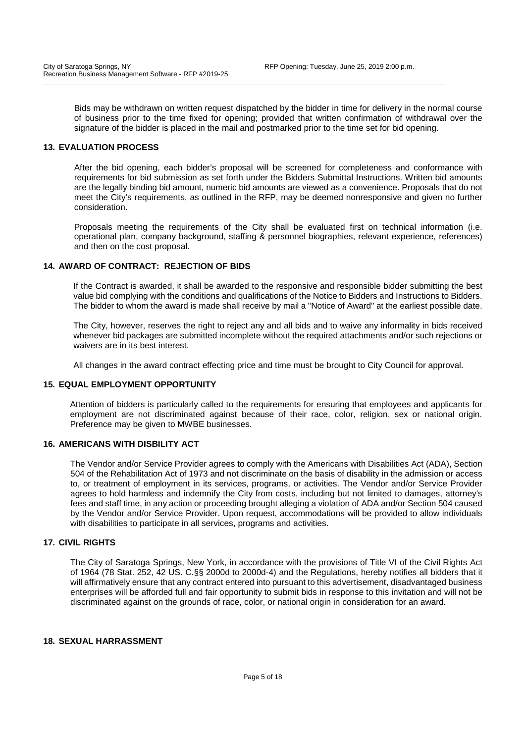Bids may be withdrawn on written request dispatched by the bidder in time for delivery in the normal course of business prior to the time fixed for opening; provided that written confirmation of withdrawal over the signature of the bidder is placed in the mail and postmarked prior to the time set for bid opening.

\_\_\_\_\_\_\_\_\_\_\_\_\_\_\_\_\_\_\_\_\_\_\_\_\_\_\_\_\_\_\_\_\_\_\_\_\_\_\_\_\_\_\_\_\_\_\_\_\_\_\_\_\_\_\_\_\_\_\_\_\_\_\_\_\_\_\_\_\_\_\_\_\_\_\_\_\_\_\_\_\_\_\_\_\_\_\_\_\_\_\_\_\_\_\_\_\_\_\_\_\_\_\_\_\_\_\_\_\_\_\_\_\_\_\_\_\_

#### **13. EVALUATION PROCESS**

After the bid opening, each bidder's proposal will be screened for completeness and conformance with requirements for bid submission as set forth under the Bidders Submittal Instructions. Written bid amounts are the legally binding bid amount, numeric bid amounts are viewed as a convenience. Proposals that do not meet the City's requirements, as outlined in the RFP, may be deemed nonresponsive and given no further consideration.

Proposals meeting the requirements of the City shall be evaluated first on technical information (i.e. operational plan, company background, staffing & personnel biographies, relevant experience, references) and then on the cost proposal.

### **14. AWARD OF CONTRACT: REJECTION OF BIDS**

If the Contract is awarded, it shall be awarded to the responsive and responsible bidder submitting the best value bid complying with the conditions and qualifications of the Notice to Bidders and Instructions to Bidders. The bidder to whom the award is made shall receive by mail a "Notice of Award" at the earliest possible date.

The City, however, reserves the right to reject any and all bids and to waive any informality in bids received whenever bid packages are submitted incomplete without the required attachments and/or such rejections or waivers are in its best interest.

All changes in the award contract effecting price and time must be brought to City Council for approval.

### **15. EQUAL EMPLOYMENT OPPORTUNITY**

Attention of bidders is particularly called to the requirements for ensuring that employees and applicants for employment are not discriminated against because of their race, color, religion, sex or national origin. Preference may be given to MWBE businesses.

#### **16. AMERICANS WITH DISBILITY ACT**

The Vendor and/or Service Provider agrees to comply with the Americans with Disabilities Act (ADA), Section 504 of the Rehabilitation Act of 1973 and not discriminate on the basis of disability in the admission or access to, or treatment of employment in its services, programs, or activities. The Vendor and/or Service Provider agrees to hold harmless and indemnify the City from costs, including but not limited to damages, attorney's fees and staff time, in any action or proceeding brought alleging a violation of ADA and/or Section 504 caused by the Vendor and/or Service Provider. Upon request, accommodations will be provided to allow individuals with disabilities to participate in all services, programs and activities.

### **17. CIVIL RIGHTS**

The City of Saratoga Springs, New York, in accordance with the provisions of Title VI of the Civil Rights Act of 1964 (78 Stat. 252, 42 US. C.§§ 2000d to 2000d-4) and the Regulations, hereby notifies all bidders that it will affirmatively ensure that any contract entered into pursuant to this advertisement, disadvantaged business enterprises will be afforded full and fair opportunity to submit bids in response to this invitation and will not be discriminated against on the grounds of race, color, or national origin in consideration for an award.

### **18. SEXUAL HARRASSMENT**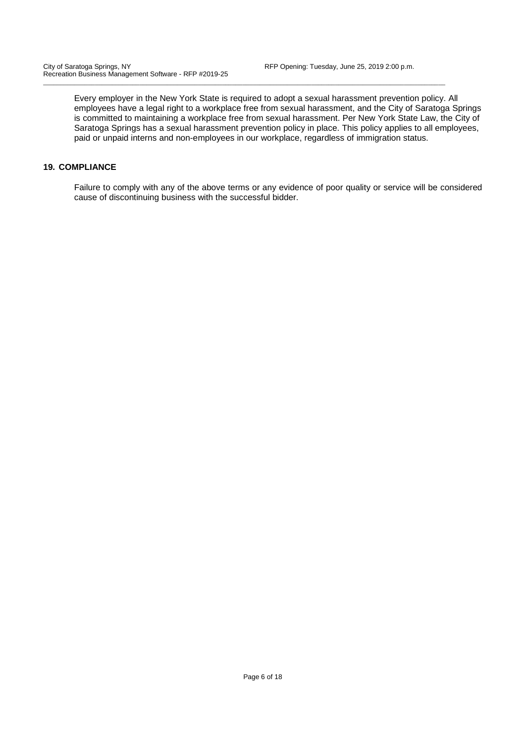Every employer in the New York State is required to adopt a sexual harassment prevention policy. All employees have a legal right to a workplace free from sexual harassment, and the City of Saratoga Springs is committed to maintaining a workplace free from sexual harassment. Per New York State Law, the City of Saratoga Springs has a sexual harassment prevention policy in place. This policy applies to all employees, paid or unpaid interns and non-employees in our workplace, regardless of immigration status.

\_\_\_\_\_\_\_\_\_\_\_\_\_\_\_\_\_\_\_\_\_\_\_\_\_\_\_\_\_\_\_\_\_\_\_\_\_\_\_\_\_\_\_\_\_\_\_\_\_\_\_\_\_\_\_\_\_\_\_\_\_\_\_\_\_\_\_\_\_\_\_\_\_\_\_\_\_\_\_\_\_\_\_\_\_\_\_\_\_\_\_\_\_\_\_\_\_\_\_\_\_\_\_\_\_\_\_\_\_\_\_\_\_\_\_\_\_

### **19. COMPLIANCE**

Failure to comply with any of the above terms or any evidence of poor quality or service will be considered cause of discontinuing business with the successful bidder.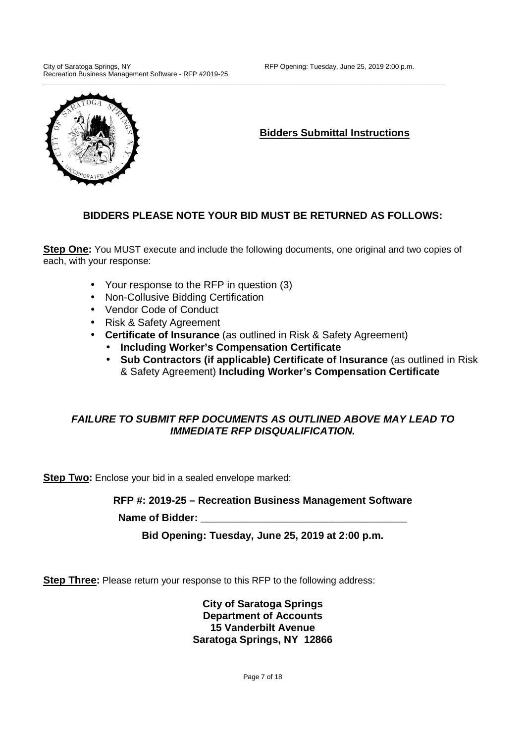

**Bidders Submittal Instructions** 

### **BIDDERS PLEASE NOTE YOUR BID MUST BE RETURNED AS FOLLOWS:**

**Step One:** You MUST execute and include the following documents, one original and two copies of each, with your response:

- Your response to the RFP in question (3)
- Non-Collusive Bidding Certification
- Vendor Code of Conduct
- Risk & Safety Agreement
- **Certificate of Insurance** (as outlined in Risk & Safety Agreement)
	- **Including Worker's Compensation Certificate**
	- **Sub Contractors (if applicable) Certificate of Insurance** (as outlined in Risk & Safety Agreement) **Including Worker's Compensation Certificate**

### **FAILURE TO SUBMIT RFP DOCUMENTS AS OUTLINED ABOVE MAY LEAD TO IMMEDIATE RFP DISQUALIFICATION.**

**Step Two:** Enclose your bid in a sealed envelope marked:

**RFP #: 2019-25 – Recreation Business Management Software** 

Name of Bidder:

**Bid Opening: Tuesday, June 25, 2019 at 2:00 p.m.** 

**Step Three:** Please return your response to this RFP to the following address:

**City of Saratoga Springs Department of Accounts 15 Vanderbilt Avenue Saratoga Springs, NY 12866**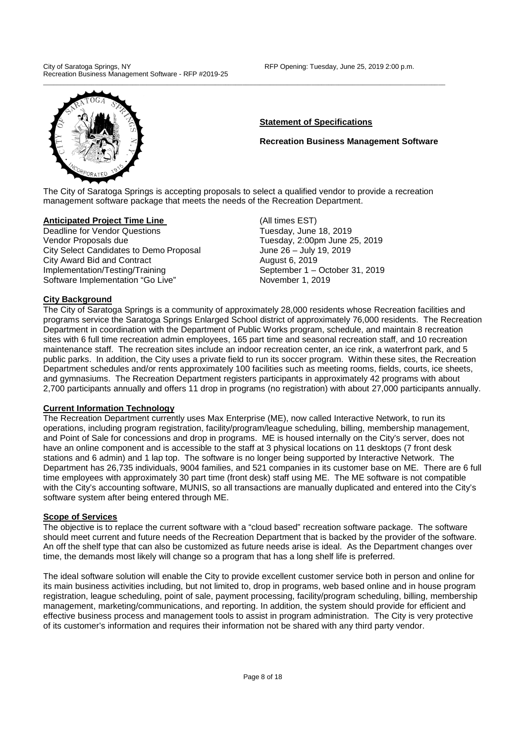

### **Statement of Specifications**

**Recreation Business Management Software** 

The City of Saratoga Springs is accepting proposals to select a qualified vendor to provide a recreation management software package that meets the needs of the Recreation Department.

\_\_\_\_\_\_\_\_\_\_\_\_\_\_\_\_\_\_\_\_\_\_\_\_\_\_\_\_\_\_\_\_\_\_\_\_\_\_\_\_\_\_\_\_\_\_\_\_\_\_\_\_\_\_\_\_\_\_\_\_\_\_\_\_\_\_\_\_\_\_\_\_\_\_\_\_\_\_\_\_\_\_\_\_\_\_\_\_\_\_\_\_\_\_\_\_\_\_\_\_\_\_\_\_\_\_\_\_\_\_\_\_\_\_\_\_\_

### **Anticipated Project Time Line** (All times EST)

**Deadline for Vendor Questions** Tuesday, June 18, 2019 Vendor Proposals due Tuesday, 2:00pm June 25, 2019 City Select Candidates to Demo Proposal June 26 – July 19, 2019 City Award Bid and Contract **August 6, 2019** Implementation/Testing/Training September 1 – October 31, 2019 Software Implementation "Go Live" November 1, 2019

### **City Background**

The City of Saratoga Springs is a community of approximately 28,000 residents whose Recreation facilities and programs service the Saratoga Springs Enlarged School district of approximately 76,000 residents. The Recreation Department in coordination with the Department of Public Works program, schedule, and maintain 8 recreation sites with 6 full time recreation admin employees, 165 part time and seasonal recreation staff, and 10 recreation maintenance staff. The recreation sites include an indoor recreation center, an ice rink, a waterfront park, and 5 public parks. In addition, the City uses a private field to run its soccer program. Within these sites, the Recreation Department schedules and/or rents approximately 100 facilities such as meeting rooms, fields, courts, ice sheets, and gymnasiums. The Recreation Department registers participants in approximately 42 programs with about 2,700 participants annually and offers 11 drop in programs (no registration) with about 27,000 participants annually.

### **Current Information Technology**

The Recreation Department currently uses Max Enterprise (ME), now called Interactive Network, to run its operations, including program registration, facility/program/league scheduling, billing, membership management, and Point of Sale for concessions and drop in programs. ME is housed internally on the City's server, does not have an online component and is accessible to the staff at 3 physical locations on 11 desktops (7 front desk stations and 6 admin) and 1 lap top. The software is no longer being supported by Interactive Network. The Department has 26,735 individuals, 9004 families, and 521 companies in its customer base on ME. There are 6 full time employees with approximately 30 part time (front desk) staff using ME. The ME software is not compatible with the City's accounting software, MUNIS, so all transactions are manually duplicated and entered into the City's software system after being entered through ME.

### **Scope of Services**

The objective is to replace the current software with a "cloud based" recreation software package. The software should meet current and future needs of the Recreation Department that is backed by the provider of the software. An off the shelf type that can also be customized as future needs arise is ideal. As the Department changes over time, the demands most likely will change so a program that has a long shelf life is preferred.

The ideal software solution will enable the City to provide excellent customer service both in person and online for its main business activities including, but not limited to, drop in programs, web based online and in house program registration, league scheduling, point of sale, payment processing, facility/program scheduling, billing, membership management, marketing/communications, and reporting. In addition, the system should provide for efficient and effective business process and management tools to assist in program administration. The City is very protective of its customer's information and requires their information not be shared with any third party vendor.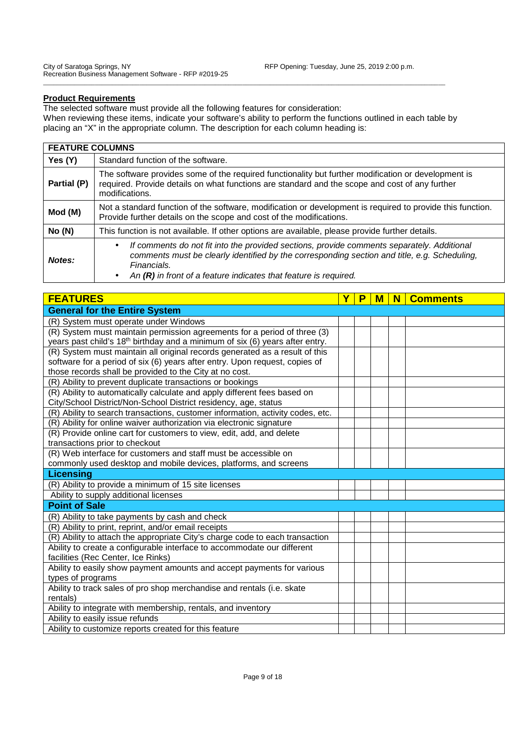### **Product Requirements**

The selected software must provide all the following features for consideration: When reviewing these items, indicate your software's ability to perform the functions outlined in each table by placing an "X" in the appropriate column. The description for each column heading is:

\_\_\_\_\_\_\_\_\_\_\_\_\_\_\_\_\_\_\_\_\_\_\_\_\_\_\_\_\_\_\_\_\_\_\_\_\_\_\_\_\_\_\_\_\_\_\_\_\_\_\_\_\_\_\_\_\_\_\_\_\_\_\_\_\_\_\_\_\_\_\_\_\_\_\_\_\_\_\_\_\_\_\_\_\_\_\_\_\_\_\_\_\_\_\_\_\_\_\_\_\_\_\_\_\_\_\_\_\_\_\_\_\_\_\_\_\_

### **FEATURE COLUMNS**

| Yes (Y)     | Standard function of the software.                                                                                                                                                                                                                                                           |  |  |  |
|-------------|----------------------------------------------------------------------------------------------------------------------------------------------------------------------------------------------------------------------------------------------------------------------------------------------|--|--|--|
| Partial (P) | The software provides some of the required functionality but further modification or development is<br>required. Provide details on what functions are standard and the scope and cost of any further<br>modifications.                                                                      |  |  |  |
| Mod (M)     | Not a standard function of the software, modification or development is required to provide this function.<br>Provide further details on the scope and cost of the modifications.                                                                                                            |  |  |  |
| No(N)       | This function is not available. If other options are available, please provide further details.                                                                                                                                                                                              |  |  |  |
| Notes:      | If comments do not fit into the provided sections, provide comments separately. Additional<br>$\bullet$<br>comments must be clearly identified by the corresponding section and title, e.g. Scheduling,<br>Financials.<br>An $(R)$ in front of a feature indicates that feature is required. |  |  |  |

| <b>FEATURES</b>                                                                          |  | P | M | N | <b>Comments</b> |
|------------------------------------------------------------------------------------------|--|---|---|---|-----------------|
| <b>General for the Entire System</b>                                                     |  |   |   |   |                 |
| (R) System must operate under Windows                                                    |  |   |   |   |                 |
| (R) System must maintain permission agreements for a period of three (3)                 |  |   |   |   |                 |
| years past child's 18 <sup>th</sup> birthday and a minimum of six (6) years after entry. |  |   |   |   |                 |
| (R) System must maintain all original records generated as a result of this              |  |   |   |   |                 |
| software for a period of six (6) years after entry. Upon request, copies of              |  |   |   |   |                 |
| those records shall be provided to the City at no cost.                                  |  |   |   |   |                 |
| (R) Ability to prevent duplicate transactions or bookings                                |  |   |   |   |                 |
| (R) Ability to automatically calculate and apply different fees based on                 |  |   |   |   |                 |
| City/School District/Non-School District residency, age, status                          |  |   |   |   |                 |
| (R) Ability to search transactions, customer information, activity codes, etc.           |  |   |   |   |                 |
| (R) Ability for online waiver authorization via electronic signature                     |  |   |   |   |                 |
| (R) Provide online cart for customers to view, edit, add, and delete                     |  |   |   |   |                 |
| transactions prior to checkout                                                           |  |   |   |   |                 |
| (R) Web interface for customers and staff must be accessible on                          |  |   |   |   |                 |
| commonly used desktop and mobile devices, platforms, and screens                         |  |   |   |   |                 |
| <b>Licensing</b>                                                                         |  |   |   |   |                 |
| (R) Ability to provide a minimum of 15 site licenses                                     |  |   |   |   |                 |
| Ability to supply additional licenses                                                    |  |   |   |   |                 |
| <b>Point of Sale</b>                                                                     |  |   |   |   |                 |
| (R) Ability to take payments by cash and check                                           |  |   |   |   |                 |
| (R) Ability to print, reprint, and/or email receipts                                     |  |   |   |   |                 |
| (R) Ability to attach the appropriate City's charge code to each transaction             |  |   |   |   |                 |
| Ability to create a configurable interface to accommodate our different                  |  |   |   |   |                 |
| facilities (Rec Center, Ice Rinks)                                                       |  |   |   |   |                 |
| Ability to easily show payment amounts and accept payments for various                   |  |   |   |   |                 |
| types of programs                                                                        |  |   |   |   |                 |
| Ability to track sales of pro shop merchandise and rentals (i.e. skate                   |  |   |   |   |                 |
| rentals)                                                                                 |  |   |   |   |                 |
| Ability to integrate with membership, rentals, and inventory                             |  |   |   |   |                 |
| Ability to easily issue refunds                                                          |  |   |   |   |                 |
| Ability to customize reports created for this feature                                    |  |   |   |   |                 |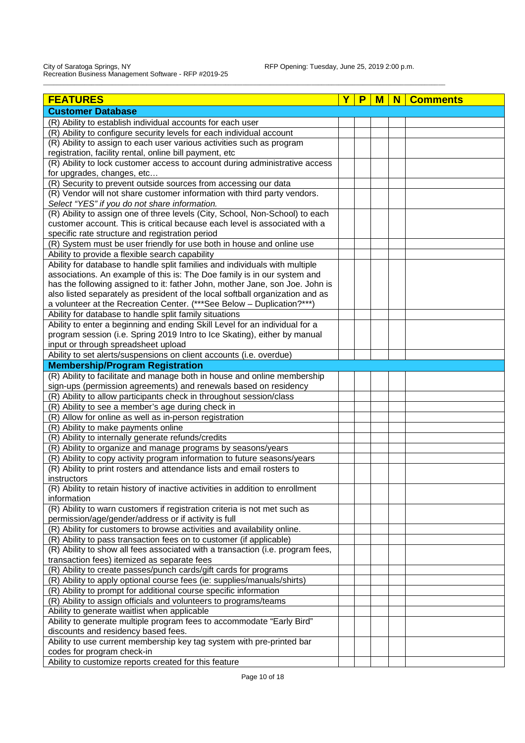| <b>FEATURES</b>                                                                | Р | м | N | <b>Comments</b> |
|--------------------------------------------------------------------------------|---|---|---|-----------------|
| <b>Customer Database</b>                                                       |   |   |   |                 |
| (R) Ability to establish individual accounts for each user                     |   |   |   |                 |
| (R) Ability to configure security levels for each individual account           |   |   |   |                 |
| (R) Ability to assign to each user various activities such as program          |   |   |   |                 |
| registration, facility rental, online bill payment, etc                        |   |   |   |                 |
| (R) Ability to lock customer access to account during administrative access    |   |   |   |                 |
| for upgrades, changes, etc                                                     |   |   |   |                 |
| (R) Security to prevent outside sources from accessing our data                |   |   |   |                 |
| (R) Vendor will not share customer information with third party vendors.       |   |   |   |                 |
| Select "YES" if you do not share information.                                  |   |   |   |                 |
| (R) Ability to assign one of three levels (City, School, Non-School) to each   |   |   |   |                 |
| customer account. This is critical because each level is associated with a     |   |   |   |                 |
| specific rate structure and registration period                                |   |   |   |                 |
| (R) System must be user friendly for use both in house and online use          |   |   |   |                 |
| Ability to provide a flexible search capability                                |   |   |   |                 |
| Ability for database to handle split families and individuals with multiple    |   |   |   |                 |
| associations. An example of this is: The Doe family is in our system and       |   |   |   |                 |
| has the following assigned to it: father John, mother Jane, son Joe. John is   |   |   |   |                 |
| also listed separately as president of the local softball organization and as  |   |   |   |                 |
| a volunteer at the Recreation Center. (*** See Below - Duplication?***)        |   |   |   |                 |
| Ability for database to handle split family situations                         |   |   |   |                 |
| Ability to enter a beginning and ending Skill Level for an individual for a    |   |   |   |                 |
| program session (i.e. Spring 2019 Intro to Ice Skating), either by manual      |   |   |   |                 |
| input or through spreadsheet upload                                            |   |   |   |                 |
| Ability to set alerts/suspensions on client accounts (i.e. overdue)            |   |   |   |                 |
| <b>Membership/Program Registration</b>                                         |   |   |   |                 |
| (R) Ability to facilitate and manage both in house and online membership       |   |   |   |                 |
| sign-ups (permission agreements) and renewals based on residency               |   |   |   |                 |
| (R) Ability to allow participants check in throughout session/class            |   |   |   |                 |
| (R) Ability to see a member's age during check in                              |   |   |   |                 |
| (R) Allow for online as well as in-person registration                         |   |   |   |                 |
| (R) Ability to make payments online                                            |   |   |   |                 |
| (R) Ability to internally generate refunds/credits                             |   |   |   |                 |
| (R) Ability to organize and manage programs by seasons/years                   |   |   |   |                 |
| (R) Ability to copy activity program information to future seasons/years       |   |   |   |                 |
| (R) Ability to print rosters and attendance lists and email rosters to         |   |   |   |                 |
| instructors                                                                    |   |   |   |                 |
| (R) Ability to retain history of inactive activities in addition to enrollment |   |   |   |                 |
| information                                                                    |   |   |   |                 |
| (R) Ability to warn customers if registration criteria is not met such as      |   |   |   |                 |
| permission/age/gender/address or if activity is full                           |   |   |   |                 |
| (R) Ability for customers to browse activities and availability online.        |   |   |   |                 |
| (R) Ability to pass transaction fees on to customer (if applicable)            |   |   |   |                 |
| (R) Ability to show all fees associated with a transaction (i.e. program fees, |   |   |   |                 |
| transaction fees) itemized as separate fees                                    |   |   |   |                 |
| (R) Ability to create passes/punch cards/gift cards for programs               |   |   |   |                 |
| (R) Ability to apply optional course fees (ie: supplies/manuals/shirts)        |   |   |   |                 |
| (R) Ability to prompt for additional course specific information               |   |   |   |                 |
| (R) Ability to assign officials and volunteers to programs/teams               |   |   |   |                 |
| Ability to generate waitlist when applicable                                   |   |   |   |                 |
| Ability to generate multiple program fees to accommodate "Early Bird"          |   |   |   |                 |
| discounts and residency based fees.                                            |   |   |   |                 |
| Ability to use current membership key tag system with pre-printed bar          |   |   |   |                 |
| codes for program check-in                                                     |   |   |   |                 |
| Ability to customize reports created for this feature                          |   |   |   |                 |

\_\_\_\_\_\_\_\_\_\_\_\_\_\_\_\_\_\_\_\_\_\_\_\_\_\_\_\_\_\_\_\_\_\_\_\_\_\_\_\_\_\_\_\_\_\_\_\_\_\_\_\_\_\_\_\_\_\_\_\_\_\_\_\_\_\_\_\_\_\_\_\_\_\_\_\_\_\_\_\_\_\_\_\_\_\_\_\_\_\_\_\_\_\_\_\_\_\_\_\_\_\_\_\_\_\_\_\_\_\_\_\_\_\_\_\_\_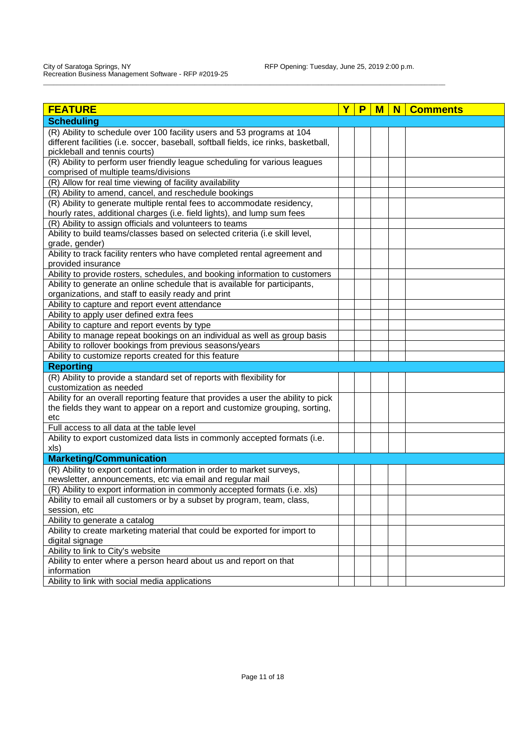| <b>FEATURE</b>                                                                                         | Υ | P | м | N | <b>Comments</b> |
|--------------------------------------------------------------------------------------------------------|---|---|---|---|-----------------|
| <b>Scheduling</b>                                                                                      |   |   |   |   |                 |
| (R) Ability to schedule over 100 facility users and 53 programs at 104                                 |   |   |   |   |                 |
| different facilities (i.e. soccer, baseball, softball fields, ice rinks, basketball,                   |   |   |   |   |                 |
| pickleball and tennis courts)                                                                          |   |   |   |   |                 |
| (R) Ability to perform user friendly league scheduling for various leagues                             |   |   |   |   |                 |
| comprised of multiple teams/divisions                                                                  |   |   |   |   |                 |
| (R) Allow for real time viewing of facility availability                                               |   |   |   |   |                 |
| (R) Ability to amend, cancel, and reschedule bookings                                                  |   |   |   |   |                 |
| (R) Ability to generate multiple rental fees to accommodate residency,                                 |   |   |   |   |                 |
| hourly rates, additional charges (i.e. field lights), and lump sum fees                                |   |   |   |   |                 |
| (R) Ability to assign officials and volunteers to teams                                                |   |   |   |   |                 |
| Ability to build teams/classes based on selected criteria (i.e skill level,                            |   |   |   |   |                 |
| grade, gender)                                                                                         |   |   |   |   |                 |
| Ability to track facility renters who have completed rental agreement and                              |   |   |   |   |                 |
| provided insurance                                                                                     |   |   |   |   |                 |
| Ability to provide rosters, schedules, and booking information to customers                            |   |   |   |   |                 |
| Ability to generate an online schedule that is available for participants,                             |   |   |   |   |                 |
| organizations, and staff to easily ready and print                                                     |   |   |   |   |                 |
| Ability to capture and report event attendance                                                         |   |   |   |   |                 |
| Ability to apply user defined extra fees                                                               |   |   |   |   |                 |
| Ability to capture and report events by type                                                           |   |   |   |   |                 |
| Ability to manage repeat bookings on an individual as well as group basis                              |   |   |   |   |                 |
| Ability to rollover bookings from previous seasons/years                                               |   |   |   |   |                 |
| Ability to customize reports created for this feature                                                  |   |   |   |   |                 |
| <b>Reporting</b>                                                                                       |   |   |   |   |                 |
| (R) Ability to provide a standard set of reports with flexibility for                                  |   |   |   |   |                 |
| customization as needed                                                                                |   |   |   |   |                 |
| Ability for an overall reporting feature that provides a user the ability to pick                      |   |   |   |   |                 |
| the fields they want to appear on a report and customize grouping, sorting,                            |   |   |   |   |                 |
| etc                                                                                                    |   |   |   |   |                 |
| Full access to all data at the table level                                                             |   |   |   |   |                 |
| Ability to export customized data lists in commonly accepted formats (i.e.                             |   |   |   |   |                 |
| xls)                                                                                                   |   |   |   |   |                 |
| <b>Marketing/Communication</b>                                                                         |   |   |   |   |                 |
| (R) Ability to export contact information in order to market surveys,                                  |   |   |   |   |                 |
| newsletter, announcements, etc via email and regular mail                                              |   |   |   |   |                 |
| (R) Ability to export information in commonly accepted formats (i.e. xls)                              |   |   |   |   |                 |
| Ability to email all customers or by a subset by program, team, class,                                 |   |   |   |   |                 |
| session, etc                                                                                           |   |   |   |   |                 |
| Ability to generate a catalog                                                                          |   |   |   |   |                 |
| Ability to create marketing material that could be exported for import to                              |   |   |   |   |                 |
| digital signage                                                                                        |   |   |   |   |                 |
| Ability to link to City's website<br>Ability to enter where a person heard about us and report on that |   |   |   |   |                 |
| information                                                                                            |   |   |   |   |                 |
| Ability to link with social media applications                                                         |   |   |   |   |                 |
|                                                                                                        |   |   |   |   |                 |

\_\_\_\_\_\_\_\_\_\_\_\_\_\_\_\_\_\_\_\_\_\_\_\_\_\_\_\_\_\_\_\_\_\_\_\_\_\_\_\_\_\_\_\_\_\_\_\_\_\_\_\_\_\_\_\_\_\_\_\_\_\_\_\_\_\_\_\_\_\_\_\_\_\_\_\_\_\_\_\_\_\_\_\_\_\_\_\_\_\_\_\_\_\_\_\_\_\_\_\_\_\_\_\_\_\_\_\_\_\_\_\_\_\_\_\_\_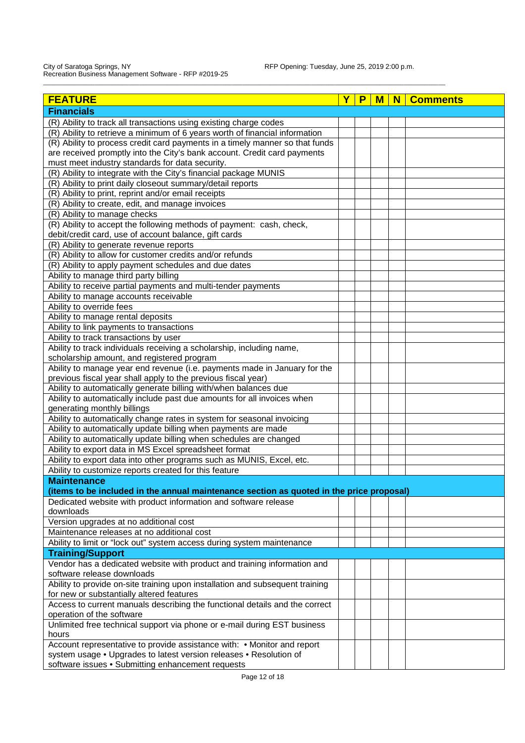| <b>FEATURE</b>                                                                           | P | M | N | <b>Comments</b> |
|------------------------------------------------------------------------------------------|---|---|---|-----------------|
| <b>Financials</b>                                                                        |   |   |   |                 |
| (R) Ability to track all transactions using existing charge codes                        |   |   |   |                 |
| (R) Ability to retrieve a minimum of 6 years worth of financial information              |   |   |   |                 |
| (R) Ability to process credit card payments in a timely manner so that funds             |   |   |   |                 |
| are received promptly into the City's bank account. Credit card payments                 |   |   |   |                 |
| must meet industry standards for data security.                                          |   |   |   |                 |
| (R) Ability to integrate with the City's financial package MUNIS                         |   |   |   |                 |
| (R) Ability to print daily closeout summary/detail reports                               |   |   |   |                 |
| (R) Ability to print, reprint and/or email receipts                                      |   |   |   |                 |
| (R) Ability to create, edit, and manage invoices                                         |   |   |   |                 |
| (R) Ability to manage checks                                                             |   |   |   |                 |
| (R) Ability to accept the following methods of payment: cash, check,                     |   |   |   |                 |
| debit/credit card, use of account balance, gift cards                                    |   |   |   |                 |
| (R) Ability to generate revenue reports                                                  |   |   |   |                 |
| (R) Ability to allow for customer credits and/or refunds                                 |   |   |   |                 |
| (R) Ability to apply payment schedules and due dates                                     |   |   |   |                 |
| Ability to manage third party billing                                                    |   |   |   |                 |
| Ability to receive partial payments and multi-tender payments                            |   |   |   |                 |
| Ability to manage accounts receivable                                                    |   |   |   |                 |
| Ability to override fees                                                                 |   |   |   |                 |
| Ability to manage rental deposits                                                        |   |   |   |                 |
| Ability to link payments to transactions                                                 |   |   |   |                 |
| Ability to track transactions by user                                                    |   |   |   |                 |
| Ability to track individuals receiving a scholarship, including name,                    |   |   |   |                 |
| scholarship amount, and registered program                                               |   |   |   |                 |
| Ability to manage year end revenue (i.e. payments made in January for the                |   |   |   |                 |
| previous fiscal year shall apply to the previous fiscal year)                            |   |   |   |                 |
| Ability to automatically generate billing with/when balances due                         |   |   |   |                 |
| Ability to automatically include past due amounts for all invoices when                  |   |   |   |                 |
| generating monthly billings                                                              |   |   |   |                 |
| Ability to automatically change rates in system for seasonal invoicing                   |   |   |   |                 |
| Ability to automatically update billing when payments are made                           |   |   |   |                 |
| Ability to automatically update billing when schedules are changed                       |   |   |   |                 |
| Ability to export data in MS Excel spreadsheet format                                    |   |   |   |                 |
| Ability to export data into other programs such as MUNIS, Excel, etc.                    |   |   |   |                 |
| Ability to customize reports created for this feature                                    |   |   |   |                 |
| <b>Maintenance</b>                                                                       |   |   |   |                 |
| (items to be included in the annual maintenance section as quoted in the price proposal) |   |   |   |                 |
| Dedicated website with product information and software release                          |   |   |   |                 |
| downloads                                                                                |   |   |   |                 |
| Version upgrades at no additional cost                                                   |   |   |   |                 |
| Maintenance releases at no additional cost                                               |   |   |   |                 |
| Ability to limit or "lock out" system access during system maintenance                   |   |   |   |                 |
| <b>Training/Support</b>                                                                  |   |   |   |                 |
| Vendor has a dedicated website with product and training information and                 |   |   |   |                 |
| software release downloads                                                               |   |   |   |                 |
| Ability to provide on-site training upon installation and subsequent training            |   |   |   |                 |
| for new or substantially altered features                                                |   |   |   |                 |
| Access to current manuals describing the functional details and the correct              |   |   |   |                 |
| operation of the software                                                                |   |   |   |                 |
| Unlimited free technical support via phone or e-mail during EST business                 |   |   |   |                 |
| hours                                                                                    |   |   |   |                 |
| Account representative to provide assistance with: • Monitor and report                  |   |   |   |                 |
| system usage . Upgrades to latest version releases . Resolution of                       |   |   |   |                 |
| software issues . Submitting enhancement requests                                        |   |   |   |                 |

\_\_\_\_\_\_\_\_\_\_\_\_\_\_\_\_\_\_\_\_\_\_\_\_\_\_\_\_\_\_\_\_\_\_\_\_\_\_\_\_\_\_\_\_\_\_\_\_\_\_\_\_\_\_\_\_\_\_\_\_\_\_\_\_\_\_\_\_\_\_\_\_\_\_\_\_\_\_\_\_\_\_\_\_\_\_\_\_\_\_\_\_\_\_\_\_\_\_\_\_\_\_\_\_\_\_\_\_\_\_\_\_\_\_\_\_\_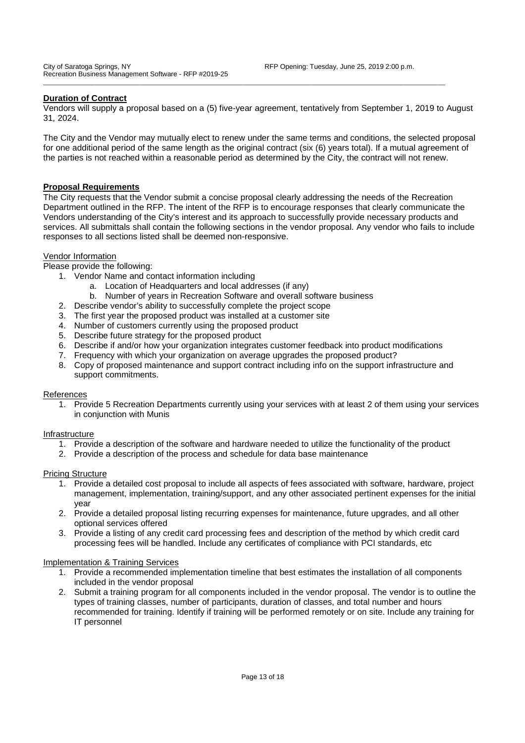### **Duration of Contract**

Vendors will supply a proposal based on a (5) five-year agreement, tentatively from September 1, 2019 to August 31, 2024.

\_\_\_\_\_\_\_\_\_\_\_\_\_\_\_\_\_\_\_\_\_\_\_\_\_\_\_\_\_\_\_\_\_\_\_\_\_\_\_\_\_\_\_\_\_\_\_\_\_\_\_\_\_\_\_\_\_\_\_\_\_\_\_\_\_\_\_\_\_\_\_\_\_\_\_\_\_\_\_\_\_\_\_\_\_\_\_\_\_\_\_\_\_\_\_\_\_\_\_\_\_\_\_\_\_\_\_\_\_\_\_\_\_\_\_\_\_

The City and the Vendor may mutually elect to renew under the same terms and conditions, the selected proposal for one additional period of the same length as the original contract (six (6) years total). If a mutual agreement of the parties is not reached within a reasonable period as determined by the City, the contract will not renew.

### **Proposal Requirements**

The City requests that the Vendor submit a concise proposal clearly addressing the needs of the Recreation Department outlined in the RFP. The intent of the RFP is to encourage responses that clearly communicate the Vendors understanding of the City's interest and its approach to successfully provide necessary products and services. All submittals shall contain the following sections in the vendor proposal. Any vendor who fails to include responses to all sections listed shall be deemed non-responsive.

### Vendor Information

Please provide the following:

- 1. Vendor Name and contact information including
	- a. Location of Headquarters and local addresses (if any)
	- b. Number of years in Recreation Software and overall software business
- 2. Describe vendor's ability to successfully complete the project scope
- 3. The first year the proposed product was installed at a customer site
- 4. Number of customers currently using the proposed product
- 5. Describe future strategy for the proposed product
- 6. Describe if and/or how your organization integrates customer feedback into product modifications
- 7. Frequency with which your organization on average upgrades the proposed product?
- 8. Copy of proposed maintenance and support contract including info on the support infrastructure and support commitments.

### References

1. Provide 5 Recreation Departments currently using your services with at least 2 of them using your services in conjunction with Munis

### Infrastructure

- 1. Provide a description of the software and hardware needed to utilize the functionality of the product
- 2. Provide a description of the process and schedule for data base maintenance

### Pricing Structure

- 1. Provide a detailed cost proposal to include all aspects of fees associated with software, hardware, project management, implementation, training/support, and any other associated pertinent expenses for the initial year
- 2. Provide a detailed proposal listing recurring expenses for maintenance, future upgrades, and all other optional services offered
- 3. Provide a listing of any credit card processing fees and description of the method by which credit card processing fees will be handled. Include any certificates of compliance with PCI standards, etc

### Implementation & Training Services

- 1. Provide a recommended implementation timeline that best estimates the installation of all components included in the vendor proposal
- 2. Submit a training program for all components included in the vendor proposal. The vendor is to outline the types of training classes, number of participants, duration of classes, and total number and hours recommended for training. Identify if training will be performed remotely or on site. Include any training for IT personnel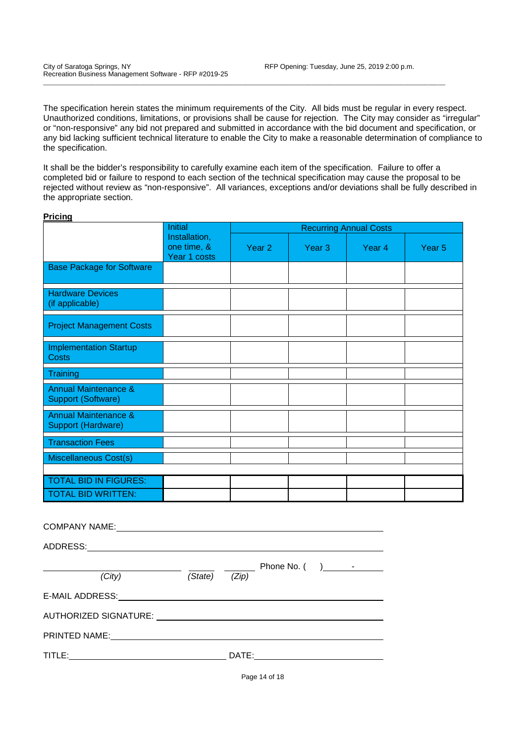The specification herein states the minimum requirements of the City. All bids must be regular in every respect. Unauthorized conditions, limitations, or provisions shall be cause for rejection. The City may consider as "irregular" or "non-responsive" any bid not prepared and submitted in accordance with the bid document and specification, or any bid lacking sufficient technical literature to enable the City to make a reasonable determination of compliance to the specification.

\_\_\_\_\_\_\_\_\_\_\_\_\_\_\_\_\_\_\_\_\_\_\_\_\_\_\_\_\_\_\_\_\_\_\_\_\_\_\_\_\_\_\_\_\_\_\_\_\_\_\_\_\_\_\_\_\_\_\_\_\_\_\_\_\_\_\_\_\_\_\_\_\_\_\_\_\_\_\_\_\_\_\_\_\_\_\_\_\_\_\_\_\_\_\_\_\_\_\_\_\_\_\_\_\_\_\_\_\_\_\_\_\_\_\_\_\_

It shall be the bidder's responsibility to carefully examine each item of the specification. Failure to offer a completed bid or failure to respond to each section of the technical specification may cause the proposal to be rejected without review as "non-responsive". All variances, exceptions and/or deviations shall be fully described in the appropriate section.

| <b>Pricing</b>                                        |                                              |                               |                   |        |                   |  |  |  |
|-------------------------------------------------------|----------------------------------------------|-------------------------------|-------------------|--------|-------------------|--|--|--|
|                                                       | Initial                                      | <b>Recurring Annual Costs</b> |                   |        |                   |  |  |  |
|                                                       | Installation,<br>one time, &<br>Year 1 costs | Year <sub>2</sub>             | Year <sub>3</sub> | Year 4 | Year <sub>5</sub> |  |  |  |
| <b>Base Package for Software</b>                      |                                              |                               |                   |        |                   |  |  |  |
| <b>Hardware Devices</b><br>(if applicable)            |                                              |                               |                   |        |                   |  |  |  |
| <b>Project Management Costs</b>                       |                                              |                               |                   |        |                   |  |  |  |
| <b>Implementation Startup</b><br>Costs                |                                              |                               |                   |        |                   |  |  |  |
| Training                                              |                                              |                               |                   |        |                   |  |  |  |
| <b>Annual Maintenance &amp;</b><br>Support (Software) |                                              |                               |                   |        |                   |  |  |  |
| <b>Annual Maintenance &amp;</b><br>Support (Hardware) |                                              |                               |                   |        |                   |  |  |  |
| <b>Transaction Fees</b>                               |                                              |                               |                   |        |                   |  |  |  |
| <b>Miscellaneous Cost(s)</b>                          |                                              |                               |                   |        |                   |  |  |  |
|                                                       |                                              |                               |                   |        |                   |  |  |  |
| <b>TOTAL BID IN FIGURES:</b>                          |                                              |                               |                   |        |                   |  |  |  |
| <b>TOTAL BID WRITTEN:</b>                             |                                              |                               |                   |        |                   |  |  |  |
|                                                       |                                              |                               |                   |        |                   |  |  |  |

| <b>COMPANY NAME:</b>                                                                                          |         |       |                                                                                                                                                                                                                                                                                                                                     |  |
|---------------------------------------------------------------------------------------------------------------|---------|-------|-------------------------------------------------------------------------------------------------------------------------------------------------------------------------------------------------------------------------------------------------------------------------------------------------------------------------------------|--|
|                                                                                                               |         |       |                                                                                                                                                                                                                                                                                                                                     |  |
|                                                                                                               |         |       | Phone No. $($ $)$ $\qquad$ $\qquad$ $\qquad$ $\qquad$ $\qquad$ $\qquad$ $\qquad$ $\qquad$ $\qquad$ $\qquad$ $\qquad$ $\qquad$ $\qquad$ $\qquad$ $\qquad$ $\qquad$ $\qquad$ $\qquad$ $\qquad$ $\qquad$ $\qquad$ $\qquad$ $\qquad$ $\qquad$ $\qquad$ $\qquad$ $\qquad$ $\qquad$ $\qquad$ $\qquad$ $\qquad$ $\qquad$ $\qquad$ $\qquad$ |  |
| (City)                                                                                                        | (State) | (Zip) |                                                                                                                                                                                                                                                                                                                                     |  |
| E-MAIL ADDRESS:                                                                                               |         |       |                                                                                                                                                                                                                                                                                                                                     |  |
| AUTHORIZED SIGNATURE: University of the series of the series of the series of the series of the series of the |         |       |                                                                                                                                                                                                                                                                                                                                     |  |
| PRINTED NAME:                                                                                                 |         |       |                                                                                                                                                                                                                                                                                                                                     |  |
| TITLE:                                                                                                        |         | DATE: |                                                                                                                                                                                                                                                                                                                                     |  |

Page 14 of 18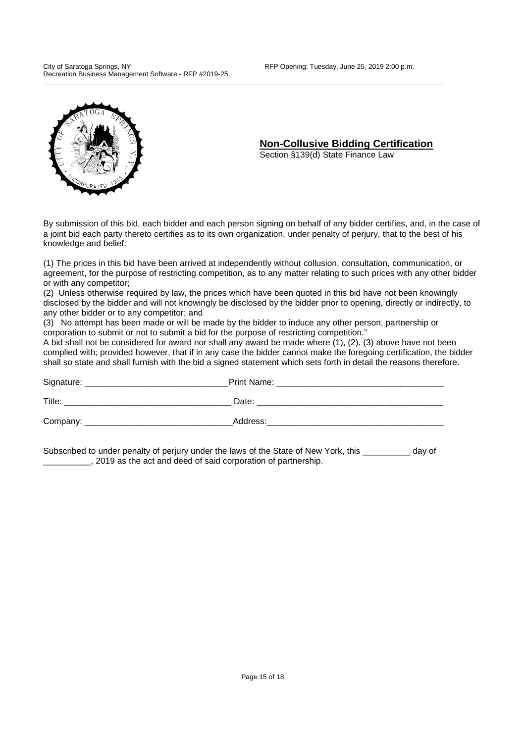

### **Non-Collusive Bidding Certification**

Section §139(d) State Finance Law

By submission of this bid, each bidder and each person signing on behalf of any bidder certifies, and, in the case of a joint bid each party thereto certifies as to its own organization, under penalty of perjury, that to the best of his knowledge and belief:

\_\_\_\_\_\_\_\_\_\_\_\_\_\_\_\_\_\_\_\_\_\_\_\_\_\_\_\_\_\_\_\_\_\_\_\_\_\_\_\_\_\_\_\_\_\_\_\_\_\_\_\_\_\_\_\_\_\_\_\_\_\_\_\_\_\_\_\_\_\_\_\_\_\_\_\_\_\_\_\_\_\_\_\_\_\_\_\_\_\_\_\_\_\_\_\_\_\_\_\_\_\_\_\_\_\_\_\_\_\_\_\_\_\_\_\_\_

(1) The prices in this bid have been arrived at independently without collusion, consultation, communication, or agreement, for the purpose of restricting competition, as to any matter relating to such prices with any other bidder or with any competitor;

(2) Unless otherwise required by law, the prices which have been quoted in this bid have not been knowingly disclosed by the bidder and will not knowingly be disclosed by the bidder prior to opening, directly or indirectly, to any other bidder or to any competitor; and

(3) No attempt has been made or will be made by the bidder to induce any other person, partnership or corporation to submit or not to submit a bid for the purpose of restricting competition."

A bid shall not be considered for award nor shall any award be made where (1), (2), (3) above have not been complied with; provided however, that if in any case the bidder cannot make the foregoing certification, the bidder shall so state and shall furnish with the bid a signed statement which sets forth in detail the reasons therefore.

| Signature: | Print Name: |
|------------|-------------|
| Title:     | Date:       |
| Company:   | Address:    |

Subscribed to under penalty of periury under the laws of the State of New York, this day of \_\_\_\_\_\_\_\_\_\_, 2019 as the act and deed of said corporation of partnership.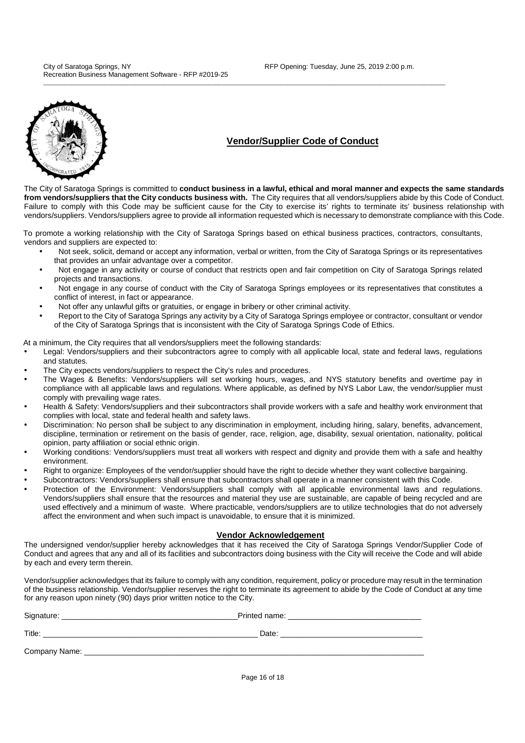

### **Vendor/Supplier Code of Conduct**

The City of Saratoga Springs is committed to **conduct business in a lawful, ethical and moral manner and expects the same standards from vendors/suppliers that the City conducts business with.** The City requires that all vendors/suppliers abide by this Code of Conduct. Failure to comply with this Code may be sufficient cause for the City to exercise its' rights to terminate its' business relationship with vendors/suppliers. Vendors/suppliers agree to provide all information requested which is necessary to demonstrate compliance with this Code.

To promote a working relationship with the City of Saratoga Springs based on ethical business practices, contractors, consultants, vendors and suppliers are expected to:

\_\_\_\_\_\_\_\_\_\_\_\_\_\_\_\_\_\_\_\_\_\_\_\_\_\_\_\_\_\_\_\_\_\_\_\_\_\_\_\_\_\_\_\_\_\_\_\_\_\_\_\_\_\_\_\_\_\_\_\_\_\_\_\_\_\_\_\_\_\_\_\_\_\_\_\_\_\_\_\_\_\_\_\_\_\_\_\_\_\_\_\_\_\_\_\_\_\_\_\_\_\_\_\_\_\_\_\_\_\_\_\_\_\_\_\_\_

- Not seek, solicit, demand or accept any information, verbal or written, from the City of Saratoga Springs or its representatives that provides an unfair advantage over a competitor.
- Not engage in any activity or course of conduct that restricts open and fair competition on City of Saratoga Springs related projects and transactions.
- Not engage in any course of conduct with the City of Saratoga Springs employees or its representatives that constitutes a conflict of interest, in fact or appearance.
- Not offer any unlawful gifts or gratuities, or engage in bribery or other criminal activity.
- Report to the City of Saratoga Springs any activity by a City of Saratoga Springs employee or contractor, consultant or vendor of the City of Saratoga Springs that is inconsistent with the City of Saratoga Springs Code of Ethics.

At a minimum, the City requires that all vendors/suppliers meet the following standards:

- Legal: Vendors/suppliers and their subcontractors agree to comply with all applicable local, state and federal laws, regulations and statutes.
- The City expects vendors/suppliers to respect the City's rules and procedures.
- The Wages & Benefits: Vendors/suppliers will set working hours, wages, and NYS statutory benefits and overtime pay in compliance with all applicable laws and regulations. Where applicable, as defined by NYS Labor Law, the vendor/supplier must comply with prevailing wage rates.
- Health & Safety: Vendors/suppliers and their subcontractors shall provide workers with a safe and healthy work environment that complies with local, state and federal health and safety laws.
- Discrimination: No person shall be subject to any discrimination in employment, including hiring, salary, benefits, advancement, discipline, termination or retirement on the basis of gender, race, religion, age, disability, sexual orientation, nationality, political opinion, party affiliation or social ethnic origin.
- Working conditions: Vendors/suppliers must treat all workers with respect and dignity and provide them with a safe and healthy environment.
- Right to organize: Employees of the vendor/supplier should have the right to decide whether they want collective bargaining.
- Subcontractors: Vendors/suppliers shall ensure that subcontractors shall operate in a manner consistent with this Code.
- Protection of the Environment: Vendors/suppliers shall comply with all applicable environmental laws and regulations. Vendors/suppliers shall ensure that the resources and material they use are sustainable, are capable of being recycled and are used effectively and a minimum of waste. Where practicable, vendors/suppliers are to utilize technologies that do not adversely affect the environment and when such impact is unavoidable, to ensure that it is minimized.

#### **Vendor Acknowledgement**

The undersigned vendor/supplier hereby acknowledges that it has received the City of Saratoga Springs Vendor/Supplier Code of Conduct and agrees that any and all of its facilities and subcontractors doing business with the City will receive the Code and will abide by each and every term therein.

Vendor/supplier acknowledges that its failure to comply with any condition, requirement, policy or procedure may result in the termination of the business relationship. Vendor/supplier reserves the right to terminate its agreement to abide by the Code of Conduct at any time for any reason upon ninety (90) days prior written notice to the City.

| Signature:    | Printed name: |
|---------------|---------------|
| Title:        | Date:         |
| Company Name: |               |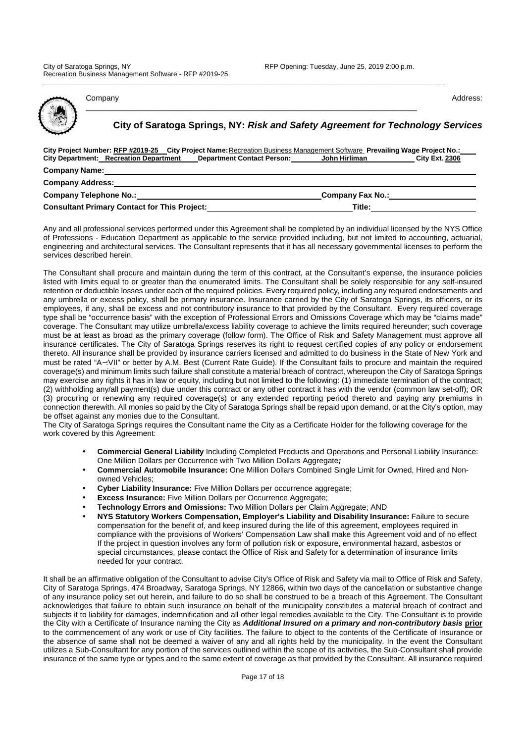Company Address: Address: Company Address: Address: Address: Address: Address: Address: Address: Address: Address: Address: Address: Address: Address: Address: Address: Address: Address: Address: Address: Address: Address: \_\_\_\_\_\_\_\_\_\_\_\_\_\_\_\_\_\_\_\_\_\_\_\_\_\_\_\_\_\_\_\_\_\_\_\_\_\_\_\_\_\_\_\_\_\_\_\_\_\_\_\_\_\_\_\_\_\_\_\_\_\_\_\_\_\_\_\_\_\_\_\_\_\_\_\_\_

**City of Saratoga Springs, NY: Risk and Safety Agreement for Technology Services**

| City Project Number: RFP #2019-25 City Project Name: Recreation Business Management Software Prevailing Wage Project No.:<br><b>City Department: Recreation Department</b><br>Department Contact Person: John Hirliman |                  | <b>City Ext. 2306</b> |
|------------------------------------------------------------------------------------------------------------------------------------------------------------------------------------------------------------------------|------------------|-----------------------|
| <b>Company Name:</b>                                                                                                                                                                                                   |                  |                       |
| <b>Company Address:</b>                                                                                                                                                                                                |                  |                       |
| <b>Company Telephone No.:</b>                                                                                                                                                                                          | Company Fax No.: |                       |
| <b>Consultant Primary Contact for This Project:</b>                                                                                                                                                                    | Title:           |                       |

\_\_\_\_\_\_\_\_\_\_\_\_\_\_\_\_\_\_\_\_\_\_\_\_\_\_\_\_\_\_\_\_\_\_\_\_\_\_\_\_\_\_\_\_\_\_\_\_\_\_\_\_\_\_\_\_\_\_\_\_\_\_\_\_\_\_\_\_\_\_\_\_\_\_\_\_\_\_\_\_\_\_\_\_\_\_\_\_\_\_\_\_\_\_\_\_\_\_\_\_\_\_\_\_\_\_\_\_\_\_\_\_\_\_\_\_\_

Any and all professional services performed under this Agreement shall be completed by an individual licensed by the NYS Office of Professions - Education Department as applicable to the service provided including, but not limited to accounting, actuarial, engineering and architectural services. The Consultant represents that it has all necessary governmental licenses to perform the services described herein.

The Consultant shall procure and maintain during the term of this contract, at the Consultant's expense, the insurance policies listed with limits equal to or greater than the enumerated limits. The Consultant shall be solely responsible for any self-insured retention or deductible losses under each of the required policies. Every required policy, including any required endorsements and any umbrella or excess policy, shall be primary insurance. Insurance carried by the City of Saratoga Springs, its officers, or its employees, if any, shall be excess and not contributory insurance to that provided by the Consultant. Every required coverage type shall be "occurrence basis" with the exception of Professional Errors and Omissions Coverage which may be "claims made" coverage. The Consultant may utilize umbrella/excess liability coverage to achieve the limits required hereunder; such coverage must be at least as broad as the primary coverage (follow form). The Office of Risk and Safety Management must approve all insurance certificates. The City of Saratoga Springs reserves its right to request certified copies of any policy or endorsement thereto. All insurance shall be provided by insurance carriers licensed and admitted to do business in the State of New York and must be rated "A−:VII" or better by A.M. Best (Current Rate Guide). If the Consultant fails to procure and maintain the required coverage(s) and minimum limits such failure shall constitute a material breach of contract, whereupon the City of Saratoga Springs may exercise any rights it has in law or equity, including but not limited to the following: (1) immediate termination of the contract; (2) withholding any/all payment(s) due under this contract or any other contract it has with the vendor (common law set-off); OR (3) procuring or renewing any required coverage(s) or any extended reporting period thereto and paying any premiums in connection therewith. All monies so paid by the City of Saratoga Springs shall be repaid upon demand, or at the City's option, may be offset against any monies due to the Consultant.

The City of Saratoga Springs requires the Consultant name the City as a Certificate Holder for the following coverage for the work covered by this Agreement:

- **Commercial General Liability** Including Completed Products and Operations and Personal Liability Insurance: One Million Dollars per Occurrence with Two Million Dollars Aggregate**;**
- **Commercial Automobile Insurance:** One Million Dollars Combined Single Limit for Owned, Hired and Nonowned Vehicles;
- **Cyber Liability Insurance:** Five Million Dollars per occurrence aggregate;
- **Excess Insurance:** Five Million Dollars per Occurrence Aggregate;
- **Technology Errors and Omissions:** Two Million Dollars per Claim Aggregate; AND
- **NYS Statutory Workers Compensation, Employer's Liability and Disability Insurance:** Failure to secure compensation for the benefit of, and keep insured during the life of this agreement, employees required in compliance with the provisions of Workers' Compensation Law shall make this Agreement void and of no effect If the project in question involves any form of pollution risk or exposure, environmental hazard, asbestos or special circumstances, please contact the Office of Risk and Safety for a determination of insurance limits needed for your contract.

It shall be an affirmative obligation of the Consultant to advise City's Office of Risk and Safety via mail to Office of Risk and Safety, City of Saratoga Springs, 474 Broadway, Saratoga Springs, NY 12866, within two days of the cancellation or substantive change of any insurance policy set out herein, and failure to do so shall be construed to be a breach of this Agreement. The Consultant acknowledges that failure to obtain such insurance on behalf of the municipality constitutes a material breach of contract and subjects it to liability for damages, indemnification and all other legal remedies available to the City. The Consultant is to provide the City with a Certificate of Insurance naming the City as **Additional Insured on a primary and non-contributory basis prior** to the commencement of any work or use of City facilities. The failure to object to the contents of the Certificate of Insurance or the absence of same shall not be deemed a waiver of any and all rights held by the municipality. In the event the Consultant utilizes a Sub-Consultant for any portion of the services outlined within the scope of its activities, the Sub-Consultant shall provide insurance of the same type or types and to the same extent of coverage as that provided by the Consultant. All insurance required